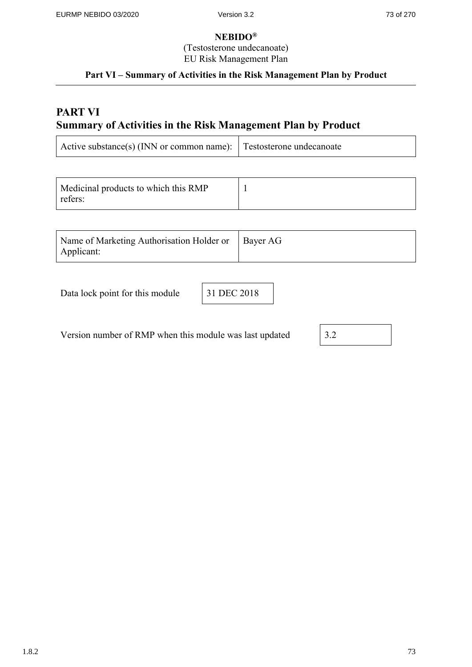(Testosterone undecanoate)

EU Risk Management Plan

## **Part VI – Summary of Activities in the Risk Management Plan by Product**

## **PART VI Summary of Activities in the Risk Management Plan by Product**

| Active substance(s) (INN or common name): Testosterone undecanoate |  |
|--------------------------------------------------------------------|--|
|                                                                    |  |

| Medicinal products to which this RMP |  |
|--------------------------------------|--|
| refers:                              |  |

| Name of Marketing Authorisation Holder or   Bayer AG |  |
|------------------------------------------------------|--|
| Applicant:                                           |  |

Data lock point for this module 31 DEC 2018

Version number of RMP when this module was last updated  $\sqrt{3}$ 

| J<br>$\cdot$ |
|--------------|
|--------------|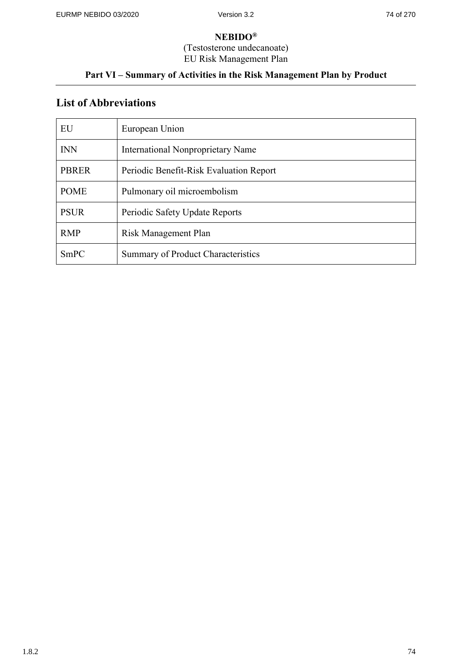(Testosterone undecanoate)

EU Risk Management Plan

## **Part VI – Summary of Activities in the Risk Management Plan by Product**

# **List of Abbreviations**

| EU           | European Union                          |
|--------------|-----------------------------------------|
| <b>INN</b>   | International Nonproprietary Name       |
| <b>PBRER</b> | Periodic Benefit-Risk Evaluation Report |
| <b>POME</b>  | Pulmonary oil microembolism             |
| <b>PSUR</b>  | Periodic Safety Update Reports          |
| <b>RMP</b>   | Risk Management Plan                    |
| SmPC         | Summary of Product Characteristics      |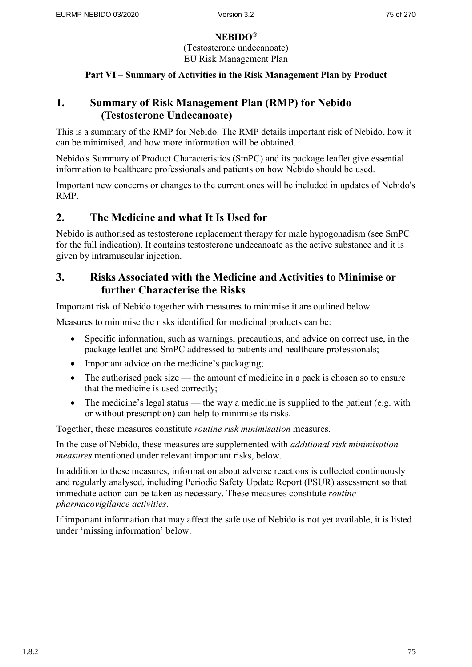(Testosterone undecanoate) EU Risk Management Plan

**Part VI – Summary of Activities in the Risk Management Plan by Product**

## **1. Summary of Risk Management Plan (RMP) for Nebido (Testosterone Undecanoate)**

This is a summary of the RMP for Nebido. The RMP details important risk of Nebido, how it can be minimised, and how more information will be obtained.

Nebido's Summary of Product Characteristics (SmPC) and its package leaflet give essential information to healthcare professionals and patients on how Nebido should be used.

Important new concerns or changes to the current ones will be included in updates of Nebido's RMP.

## **2. The Medicine and what It Is Used for**

Nebido is authorised as testosterone replacement therapy for male hypogonadism (see SmPC for the full indication). It contains testosterone undecanoate as the active substance and it is given by intramuscular injection.

## **3. Risks Associated with the Medicine and Activities to Minimise or further Characterise the Risks**

Important risk of Nebido together with measures to minimise it are outlined below.

Measures to minimise the risks identified for medicinal products can be:

- Specific information, such as warnings, precautions, and advice on correct use, in the package leaflet and SmPC addressed to patients and healthcare professionals;
- Important advice on the medicine's packaging;
- The authorised pack size the amount of medicine in a pack is chosen so to ensure that the medicine is used correctly;
- The medicine's legal status the way a medicine is supplied to the patient (e.g. with or without prescription) can help to minimise its risks.

Together, these measures constitute *routine risk minimisation* measures.

In the case of Nebido, these measures are supplemented with *additional risk minimisation measures* mentioned under relevant important risks, below.

In addition to these measures, information about adverse reactions is collected continuously and regularly analysed, including Periodic Safety Update Report (PSUR) assessment so that immediate action can be taken as necessary. These measures constitute *routine pharmacovigilance activities*.

If important information that may affect the safe use of Nebido is not yet available, it is listed under 'missing information' below.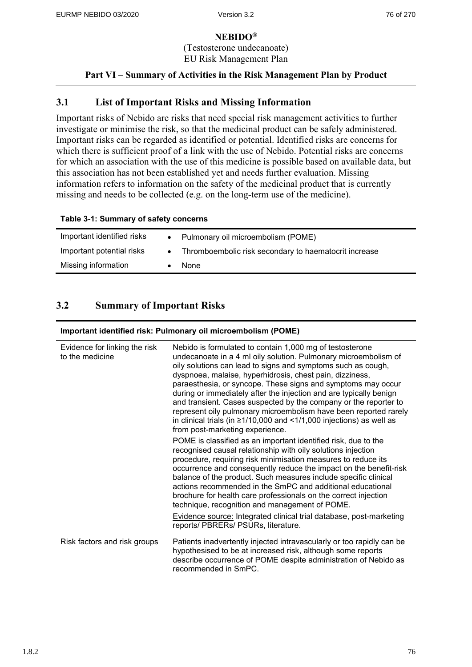(Testosterone undecanoate) EU Risk Management Plan

### **Part VI – Summary of Activities in the Risk Management Plan by Product**

## **3.1 List of Important Risks and Missing Information**

Important risks of Nebido are risks that need special risk management activities to further investigate or minimise the risk, so that the medicinal product can be safely administered. Important risks can be regarded as identified or potential. Identified risks are concerns for which there is sufficient proof of a link with the use of Nebido. Potential risks are concerns for which an association with the use of this medicine is possible based on available data, but this association has not been established yet and needs further evaluation. Missing information refers to information on the safety of the medicinal product that is currently missing and needs to be collected (e.g. on the long-term use of the medicine).

#### **Table 3-1: Summary of safety concerns**

| Important identified risks |           | • Pulmonary oil microembolism (POME)                  |
|----------------------------|-----------|-------------------------------------------------------|
| Important potential risks  | $\bullet$ | Thromboembolic risk secondary to haematocrit increase |
| Missing information        |           | None                                                  |

## **3.2 Summary of Important Risks**

#### **Important identified risk: Pulmonary oil microembolism (POME)**

| Evidence for linking the risk<br>to the medicine | Nebido is formulated to contain 1,000 mg of testosterone<br>undecanoate in a 4 ml oily solution. Pulmonary microembolism of<br>oily solutions can lead to signs and symptoms such as cough,<br>dyspnoea, malaise, hyperhidrosis, chest pain, dizziness,<br>paraesthesia, or syncope. These signs and symptoms may occur<br>during or immediately after the injection and are typically benign<br>and transient. Cases suspected by the company or the reporter to<br>represent oily pulmonary microembolism have been reported rarely<br>in clinical trials (in $\geq$ 1/10,000 and <1/1,000 injections) as well as<br>from post-marketing experience. |
|--------------------------------------------------|--------------------------------------------------------------------------------------------------------------------------------------------------------------------------------------------------------------------------------------------------------------------------------------------------------------------------------------------------------------------------------------------------------------------------------------------------------------------------------------------------------------------------------------------------------------------------------------------------------------------------------------------------------|
|                                                  | POME is classified as an important identified risk, due to the<br>recognised causal relationship with oily solutions injection<br>procedure, requiring risk minimisation measures to reduce its<br>occurrence and consequently reduce the impact on the benefit-risk<br>balance of the product. Such measures include specific clinical<br>actions recommended in the SmPC and additional educational<br>brochure for health care professionals on the correct injection<br>technique, recognition and management of POME.                                                                                                                             |
|                                                  | Evidence source: Integrated clinical trial database, post-marketing<br>reports/ PBRERs/ PSURs, literature.                                                                                                                                                                                                                                                                                                                                                                                                                                                                                                                                             |
| Risk factors and risk groups                     | Patients inadvertently injected intravascularly or too rapidly can be<br>hypothesised to be at increased risk, although some reports<br>describe occurrence of POME despite administration of Nebido as<br>recommended in SmPC.                                                                                                                                                                                                                                                                                                                                                                                                                        |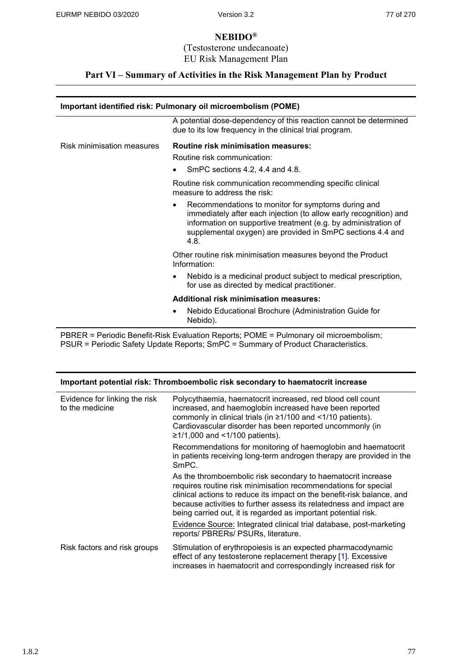(Testosterone undecanoate) EU Risk Management Plan

### **Part VI – Summary of Activities in the Risk Management Plan by Product**

## **Important identified risk: Pulmonary oil microembolism (POME)** A potential dose-dependency of this reaction cannot be determined due to its low frequency in the clinical trial program. Risk minimisation measures **Routine risk minimisation measures:** Routine risk communication: SmPC sections 4.2, 4.4 and 4.8. Routine risk communication recommending specific clinical measure to address the risk: Recommendations to monitor for symptoms during and immediately after each injection (to allow early recognition) and information on supportive treatment (e.g. by administration of supplemental oxygen) are provided in SmPC sections 4.4 and 4.8. Other routine risk minimisation measures beyond the Product Information: Nebido is a medicinal product subject to medical prescription, for use as directed by medical practitioner. **Additional risk minimisation measures:** Nebido Educational Brochure (Administration Guide for

Nebido).

PBRER = Periodic Benefit-Risk Evaluation Reports; POME = Pulmonary oil microembolism; PSUR = Periodic Safety Update Reports; SmPC = Summary of Product Characteristics.

| Important potential risk: Thromboembolic risk secondary to haematocrit increase |                                                  |                                                                                                                                                                                                                                                                                                                                                   |
|---------------------------------------------------------------------------------|--------------------------------------------------|---------------------------------------------------------------------------------------------------------------------------------------------------------------------------------------------------------------------------------------------------------------------------------------------------------------------------------------------------|
|                                                                                 | Evidence for linking the risk<br>to the medicine | Polycythaemia, haematocrit increased, red blood cell count<br>increased, and haemoglobin increased have been reported<br>commonly in clinical trials (in ≥1/100 and <1/10 patients).<br>Cardiovascular disorder has been reported uncommonly (in<br>$≥1/1,000$ and <1/100 patients).                                                              |
|                                                                                 |                                                  | Recommendations for monitoring of haemoglobin and haematocrit<br>in patients receiving long-term androgen therapy are provided in the<br>SmPC.                                                                                                                                                                                                    |
|                                                                                 |                                                  | As the thromboembolic risk secondary to haematocrit increase<br>requires routine risk minimisation recommendations for special<br>clinical actions to reduce its impact on the benefit-risk balance, and<br>because activities to further assess its relatedness and impact are<br>being carried out, it is regarded as important potential risk. |
|                                                                                 |                                                  | Evidence Source: Integrated clinical trial database, post-marketing<br>reports/ PBRERs/ PSURs, literature.                                                                                                                                                                                                                                        |
|                                                                                 | Risk factors and risk groups                     | Stimulation of erythropoiesis is an expected pharmacodynamic<br>effect of any testosterone replacement therapy [1]. Excessive<br>increases in haematocrit and correspondingly increased risk for                                                                                                                                                  |

1.8.2 **77**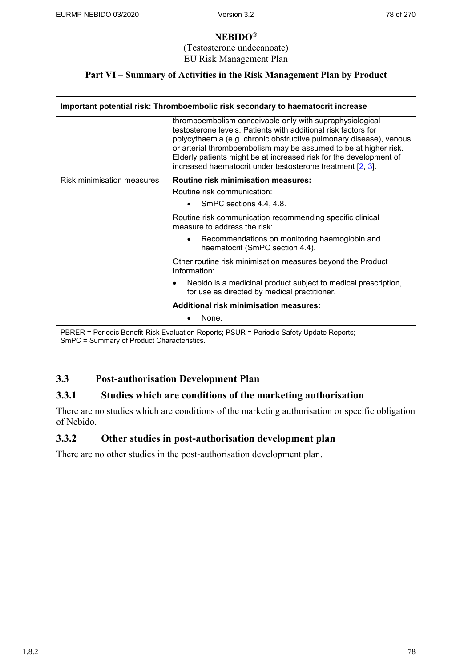(Testosterone undecanoate) EU Risk Management Plan

### **Part VI – Summary of Activities in the Risk Management Plan by Product**

#### **Important potential risk: Thromboembolic risk secondary to haematocrit increase**

| thromboembolism conceivable only with supraphysiological<br>testosterone levels. Patients with additional risk factors for<br>polycythaemia (e.g. chronic obstructive pulmonary disease), venous<br>or arterial thromboembolism may be assumed to be at higher risk.<br>Elderly patients might be at increased risk for the development of<br>increased haematocrit under testosterone treatment [2, 3]. |
|----------------------------------------------------------------------------------------------------------------------------------------------------------------------------------------------------------------------------------------------------------------------------------------------------------------------------------------------------------------------------------------------------------|
| <b>Routine risk minimisation measures:</b>                                                                                                                                                                                                                                                                                                                                                               |
| Routine risk communication:                                                                                                                                                                                                                                                                                                                                                                              |
| SmPC sections 4.4, 4.8.<br>$\bullet$                                                                                                                                                                                                                                                                                                                                                                     |
| Routine risk communication recommending specific clinical<br>measure to address the risk:                                                                                                                                                                                                                                                                                                                |
| Recommendations on monitoring haemoglobin and<br>$\bullet$<br>haematocrit (SmPC section 4.4).                                                                                                                                                                                                                                                                                                            |
| Other routine risk minimisation measures beyond the Product<br>Information:                                                                                                                                                                                                                                                                                                                              |
| Nebido is a medicinal product subject to medical prescription,<br>٠<br>for use as directed by medical practitioner.                                                                                                                                                                                                                                                                                      |
| <b>Additional risk minimisation measures:</b>                                                                                                                                                                                                                                                                                                                                                            |
| None.                                                                                                                                                                                                                                                                                                                                                                                                    |
|                                                                                                                                                                                                                                                                                                                                                                                                          |

PBRER = Periodic Benefit-Risk Evaluation Reports; PSUR = Periodic Safety Update Reports; SmPC = Summary of Product Characteristics.

## **3.3 Post-authorisation Development Plan**

## **3.3.1 Studies which are conditions of the marketing authorisation**

There are no studies which are conditions of the marketing authorisation or specific obligation of Nebido.

## **3.3.2 Other studies in post-authorisation development plan**

There are no other studies in the post-authorisation development plan.